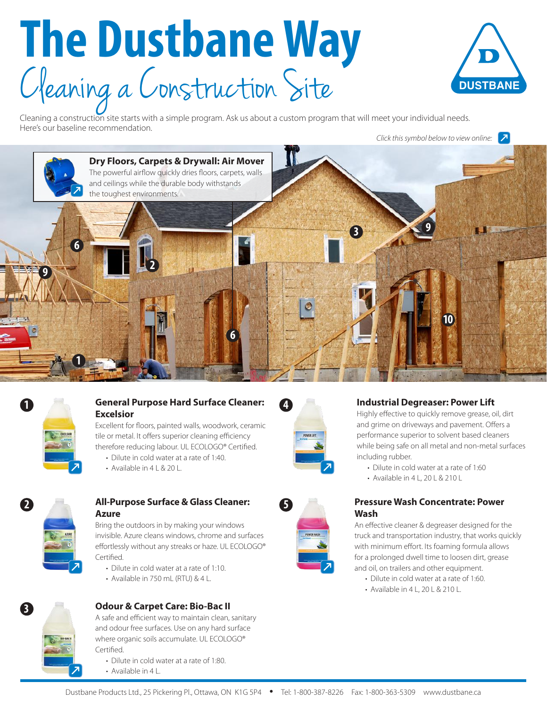# **The Dustbane Way** C leaning a C onstruction Site



Cleaning a construction site starts with a simple program. Ask us about a custom program that will meet your individual needs. Here's our baseline recommendation.

*Click this symbol below to view online:*





**1**

### **General Purpose Hard Surface Cleaner: Excelsior**

Excellent for floors, painted walls, woodwork, ceramic tile or metal. It offers superior cleaning efficiency therefore reducing labour. UL ECOLOGO® Certified.

- Dilute in cold water at a rate of 1:40.
- Available in 4 L & 20 L.



### **All-Purpose Surface & Glass Cleaner: Azure**

Bring the outdoors in by making your windows invisible. Azure cleans windows, chrome and surfaces effortlessly without any streaks or haze. UL ECOLOGO® Certified.

- Dilute in cold water at a rate of 1:10.
- Available in 750 mL (RTU) & 4 L.



# **Odour & Carpet Care: Bio-Bac II**

A safe and efficient way to maintain clean, sanitary and odour free surfaces. Use on any hard surface where organic soils accumulate. UL ECOLOGO® Certified.

- Dilute in cold water at a rate of 1:80.
- Available in 4 L.



**5**

#### **Industrial Degreaser: Power Lift**

Highly effective to quickly remove grease, oil, dirt and grime on driveways and pavement. Offers a performance superior to solvent based cleaners while being safe on all metal and non-metal surfaces including rubber.

- Dilute in cold water at a rate of 1:60
- Available in 4 L, 20 L & 210 L

#### **Pressure Wash Concentrate: Power Wash**

An effective cleaner & degreaser designed for the truck and transportation industry, that works quickly with minimum effort. Its foaming formula allows for a prolonged dwell time to loosen dirt, grease and oil, on trailers and other equipment.

- Dilute in cold water at a rate of 1:60.
- Available in 4 L, 20 L & 210 L.